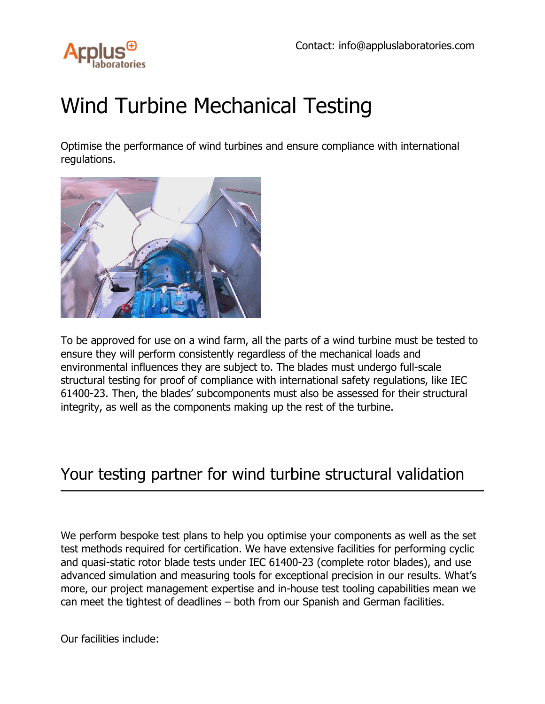

## Wind Turbine Mechanical Testing

Optimise the performance of wind turbines and ensure compliance with international regulations.



To be approved for use on a wind farm, all the parts of a wind turbine must be tested to ensure they will perform consistently regardless of the mechanical loads and environmental influences they are subject to. The blades must undergo full-scale structural testing for proof of compliance with international safety regulations, like IEC 61400-23. Then, the blades' subcomponents must also be assessed for their structural integrity, as well as the components making up the rest of the turbine.

## Your testing partner for wind turbine structural validation

We perform bespoke test plans to help you optimise your components as well as the set test methods required for certification. We have extensive facilities for performing cyclic and quasi-static rotor blade tests under IEC 61400-23 (complete rotor blades), and use advanced simulation and measuring tools for exceptional precision in our results. What's more, our project management expertise and in-house test tooling capabilities mean we can meet the tightest of deadlines – both from our Spanish and German facilities.

Our facilities include: